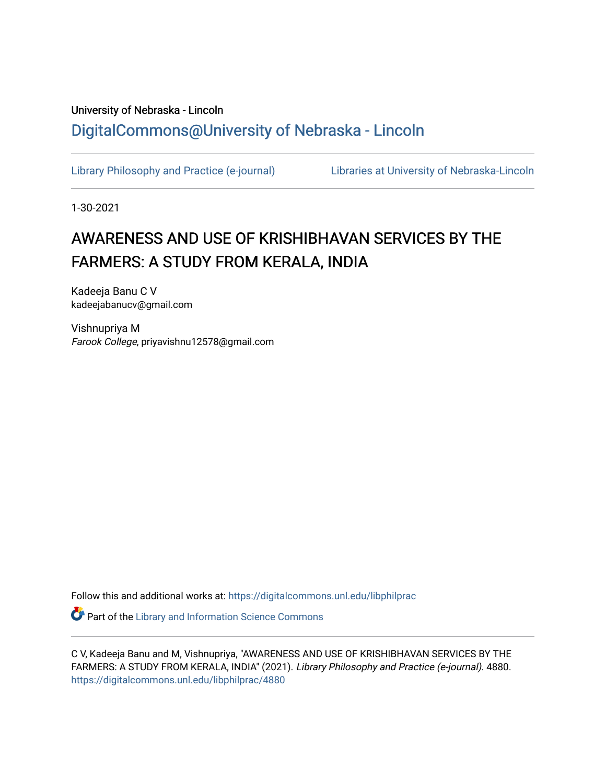# University of Nebraska - Lincoln [DigitalCommons@University of Nebraska - Lincoln](https://digitalcommons.unl.edu/)

[Library Philosophy and Practice \(e-journal\)](https://digitalcommons.unl.edu/libphilprac) [Libraries at University of Nebraska-Lincoln](https://digitalcommons.unl.edu/libraries) 

1-30-2021

# AWARENESS AND USE OF KRISHIBHAVAN SERVICES BY THE FARMERS: A STUDY FROM KERALA, INDIA

Kadeeja Banu C V kadeejabanucv@gmail.com

Vishnupriya M Farook College, priyavishnu12578@gmail.com

Follow this and additional works at: [https://digitalcommons.unl.edu/libphilprac](https://digitalcommons.unl.edu/libphilprac?utm_source=digitalcommons.unl.edu%2Flibphilprac%2F4880&utm_medium=PDF&utm_campaign=PDFCoverPages) 

**Part of the Library and Information Science Commons** 

C V, Kadeeja Banu and M, Vishnupriya, "AWARENESS AND USE OF KRISHIBHAVAN SERVICES BY THE FARMERS: A STUDY FROM KERALA, INDIA" (2021). Library Philosophy and Practice (e-journal). 4880. [https://digitalcommons.unl.edu/libphilprac/4880](https://digitalcommons.unl.edu/libphilprac/4880?utm_source=digitalcommons.unl.edu%2Flibphilprac%2F4880&utm_medium=PDF&utm_campaign=PDFCoverPages)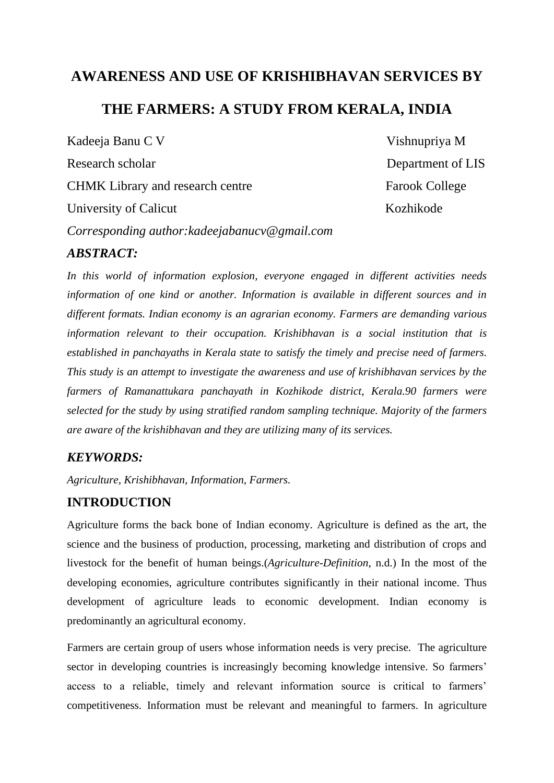# **AWARENESS AND USE OF KRISHIBHAVAN SERVICES BY**

# **THE FARMERS: A STUDY FROM KERALA, INDIA**

Kadeeja Banu C V Vishnupriya M Research scholar Department of LIS CHMK Library and research centre Farook College University of Calicut Kozhikode *Corresponding author:kadeejabanucv@gmail.com*

## *ABSTRACT:*

*In this world of information explosion, everyone engaged in different activities needs information of one kind or another. Information is available in different sources and in different formats. Indian economy is an agrarian economy. Farmers are demanding various information relevant to their occupation. Krishibhavan is a social institution that is established in panchayaths in Kerala state to satisfy the timely and precise need of farmers. This study is an attempt to investigate the awareness and use of krishibhavan services by the farmers of Ramanattukara panchayath in Kozhikode district, Kerala.90 farmers were selected for the study by using stratified random sampling technique. Majority of the farmers are aware of the krishibhavan and they are utilizing many of its services.*

## *KEYWORDS:*

*Agriculture, Krishibhavan, Information, Farmers.*

## **INTRODUCTION**

Agriculture forms the back bone of Indian economy. Agriculture is defined as the art, the science and the business of production, processing, marketing and distribution of crops and livestock for the benefit of human beings.(*Agriculture-Definition*, n.d.) In the most of the developing economies, agriculture contributes significantly in their national income. Thus development of agriculture leads to economic development. Indian economy is predominantly an agricultural economy.

Farmers are certain group of users whose information needs is very precise. The agriculture sector in developing countries is increasingly becoming knowledge intensive. So farmers' access to a reliable, timely and relevant information source is critical to farmers' competitiveness. Information must be relevant and meaningful to farmers. In agriculture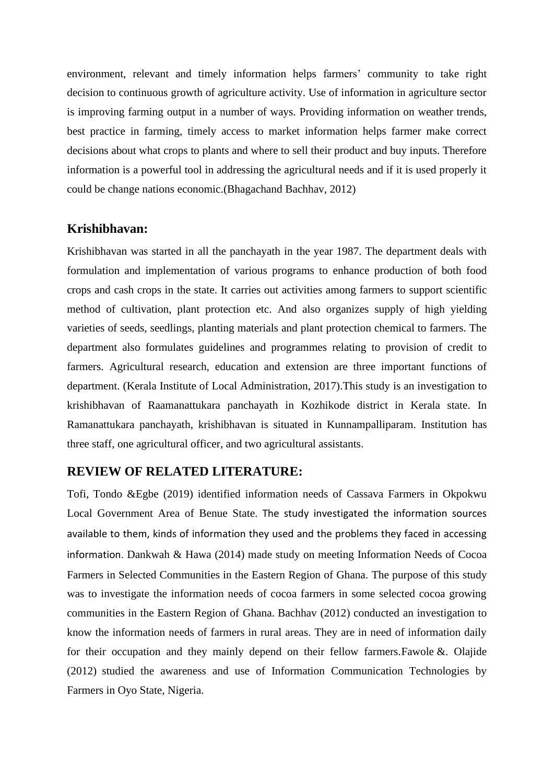environment, relevant and timely information helps farmers' community to take right decision to continuous growth of agriculture activity. Use of information in agriculture sector is improving farming output in a number of ways. Providing information on weather trends, best practice in farming, timely access to market information helps farmer make correct decisions about what crops to plants and where to sell their product and buy inputs. Therefore information is a powerful tool in addressing the agricultural needs and if it is used properly it could be change nations economic.(Bhagachand Bachhav, 2012)

## **Krishibhavan:**

Krishibhavan was started in all the panchayath in the year 1987. The department deals with formulation and implementation of various programs to enhance production of both food crops and cash crops in the state. It carries out activities among farmers to support scientific method of cultivation, plant protection etc. And also organizes supply of high yielding varieties of seeds, seedlings, planting materials and plant protection chemical to farmers. The department also formulates guidelines and programmes relating to provision of credit to farmers. Agricultural research, education and extension are three important functions of department. (Kerala Institute of Local Administration, 2017).This study is an investigation to krishibhavan of Raamanattukara panchayath in Kozhikode district in Kerala state. In Ramanattukara panchayath, krishibhavan is situated in Kunnampalliparam. Institution has three staff, one agricultural officer, and two agricultural assistants.

### **REVIEW OF RELATED LITERATURE:**

Tofi, Tondo &Egbe (2019) identified information needs of Cassava Farmers in Okpokwu Local Government Area of Benue State. The study investigated the information sources available to them, kinds of information they used and the problems they faced in accessing information. Dankwah & Hawa (2014) made study on meeting Information Needs of Cocoa Farmers in Selected Communities in the Eastern Region of Ghana. The purpose of this study was to investigate the information needs of cocoa farmers in some selected cocoa growing communities in the Eastern Region of Ghana. Bachhav (2012) conducted an investigation to know the information needs of farmers in rural areas. They are in need of information daily for their occupation and they mainly depend on their fellow farmers.Fawole &. Olajide (2012) studied the awareness and use of Information Communication Technologies by Farmers in Oyo State, Nigeria.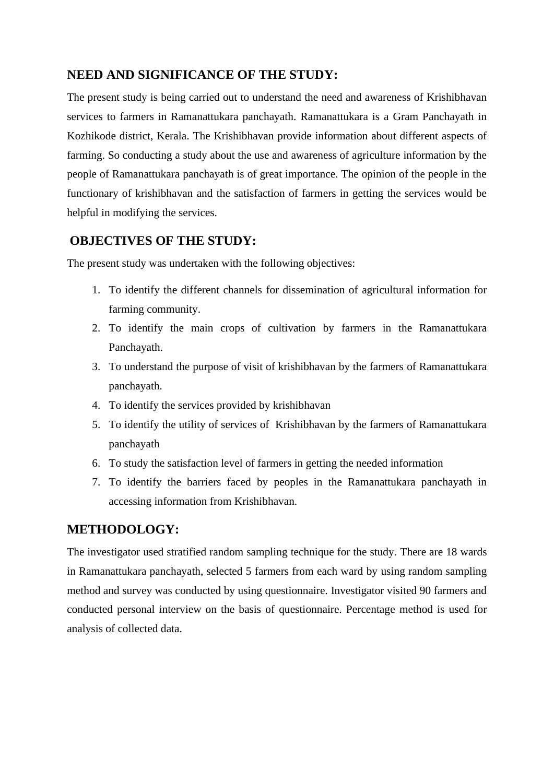# **NEED AND SIGNIFICANCE OF THE STUDY:**

The present study is being carried out to understand the need and awareness of Krishibhavan services to farmers in Ramanattukara panchayath. Ramanattukara is a Gram Panchayath in Kozhikode district, Kerala. The Krishibhavan provide information about different aspects of farming. So conducting a study about the use and awareness of agriculture information by the people of Ramanattukara panchayath is of great importance. The opinion of the people in the functionary of krishibhavan and the satisfaction of farmers in getting the services would be helpful in modifying the services.

# **OBJECTIVES OF THE STUDY:**

The present study was undertaken with the following objectives:

- 1. To identify the different channels for dissemination of agricultural information for farming community.
- 2. To identify the main crops of cultivation by farmers in the Ramanattukara Panchayath.
- 3. To understand the purpose of visit of krishibhavan by the farmers of Ramanattukara panchayath.
- 4. To identify the services provided by krishibhavan
- 5. To identify the utility of services of Krishibhavan by the farmers of Ramanattukara panchayath
- 6. To study the satisfaction level of farmers in getting the needed information
- 7. To identify the barriers faced by peoples in the Ramanattukara panchayath in accessing information from Krishibhavan.

## **METHODOLOGY:**

The investigator used stratified random sampling technique for the study. There are 18 wards in Ramanattukara panchayath, selected 5 farmers from each ward by using random sampling method and survey was conducted by using questionnaire. Investigator visited 90 farmers and conducted personal interview on the basis of questionnaire. Percentage method is used for analysis of collected data.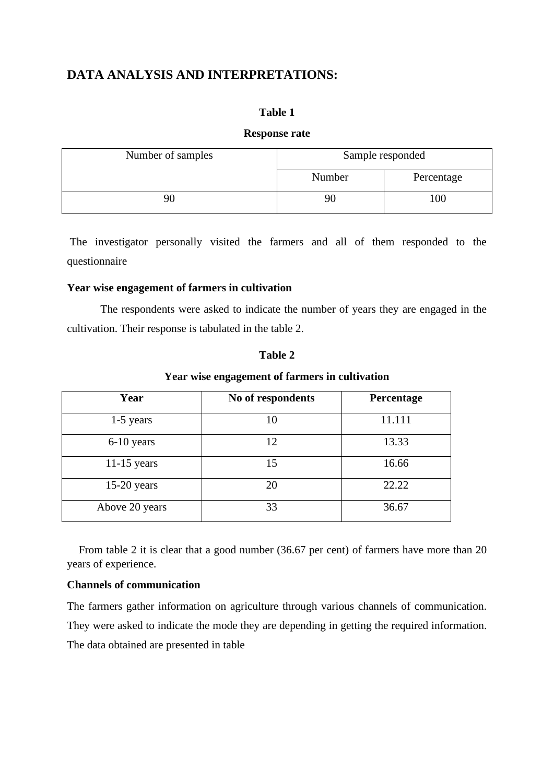# **DATA ANALYSIS AND INTERPRETATIONS:**

#### **Table 1**

#### **Response rate**

| Number of samples | Sample responded |            |
|-------------------|------------------|------------|
|                   | Number           | Percentage |
| 90                | 90               | 00         |

The investigator personally visited the farmers and all of them responded to the questionnaire

#### **Year wise engagement of farmers in cultivation**

The respondents were asked to indicate the number of years they are engaged in the cultivation. Their response is tabulated in the table 2.

#### **Table 2**

#### **Year wise engagement of farmers in cultivation**

| Year           | No of respondents | Percentage |
|----------------|-------------------|------------|
| $1-5$ years    | 10                | 11.111     |
| 6-10 years     | 12                | 13.33      |
| $11-15$ years  | 15                | 16.66      |
| $15-20$ years  | 20                | 22.22      |
| Above 20 years | 33                | 36.67      |

 From table 2 it is clear that a good number (36.67 per cent) of farmers have more than 20 years of experience.

#### **Channels of communication**

The farmers gather information on agriculture through various channels of communication. They were asked to indicate the mode they are depending in getting the required information. The data obtained are presented in table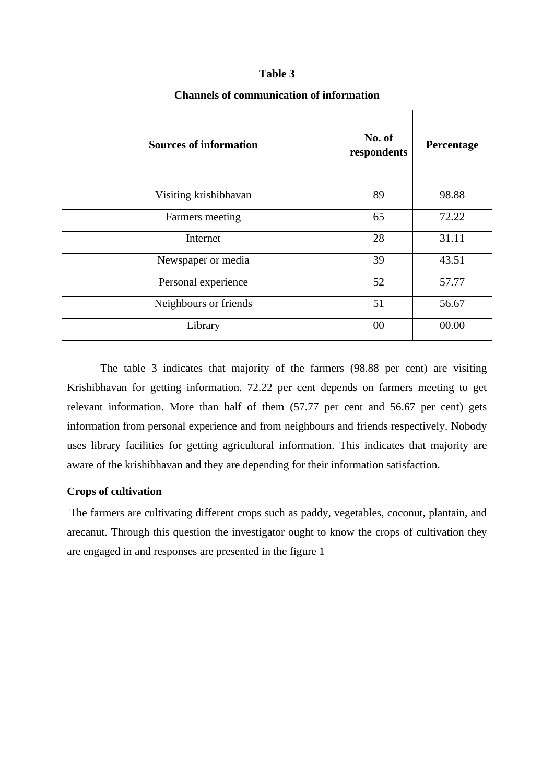| <b>Sources of information</b> | No. of<br>respondents | Percentage |
|-------------------------------|-----------------------|------------|
| Visiting krishibhavan         | 89                    | 98.88      |
| Farmers meeting               | 65                    | 72.22      |
| Internet                      | 28                    | 31.11      |
| Newspaper or media            | 39                    | 43.51      |
| Personal experience           | 52                    | 57.77      |
| Neighbours or friends         | 51                    | 56.67      |
| Library                       | 00                    | 00.00      |

#### **Channels of communication of information**

The table 3 indicates that majority of the farmers (98.88 per cent) are visiting Krishibhavan for getting information. 72.22 per cent depends on farmers meeting to get relevant information. More than half of them (57.77 per cent and 56.67 per cent) gets information from personal experience and from neighbours and friends respectively. Nobody uses library facilities for getting agricultural information. This indicates that majority are aware of the krishibhavan and they are depending for their information satisfaction.

#### **Crops of cultivation**

The farmers are cultivating different crops such as paddy, vegetables, coconut, plantain, and arecanut. Through this question the investigator ought to know the crops of cultivation they are engaged in and responses are presented in the figure 1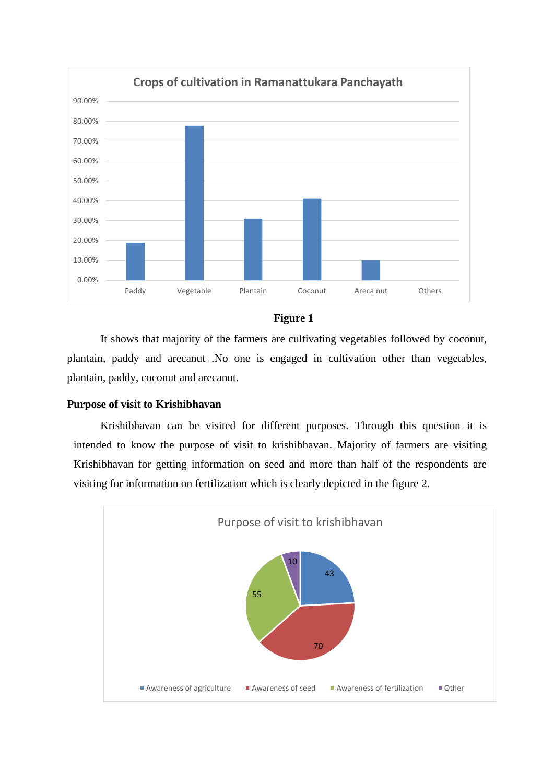



It shows that majority of the farmers are cultivating vegetables followed by coconut, plantain, paddy and arecanut .No one is engaged in cultivation other than vegetables, plantain, paddy, coconut and arecanut.

#### **Purpose of visit to Krishibhavan**

Krishibhavan can be visited for different purposes. Through this question it is intended to know the purpose of visit to krishibhavan. Majority of farmers are visiting Krishibhavan for getting information on seed and more than half of the respondents are visiting for information on fertilization which is clearly depicted in the figure 2.

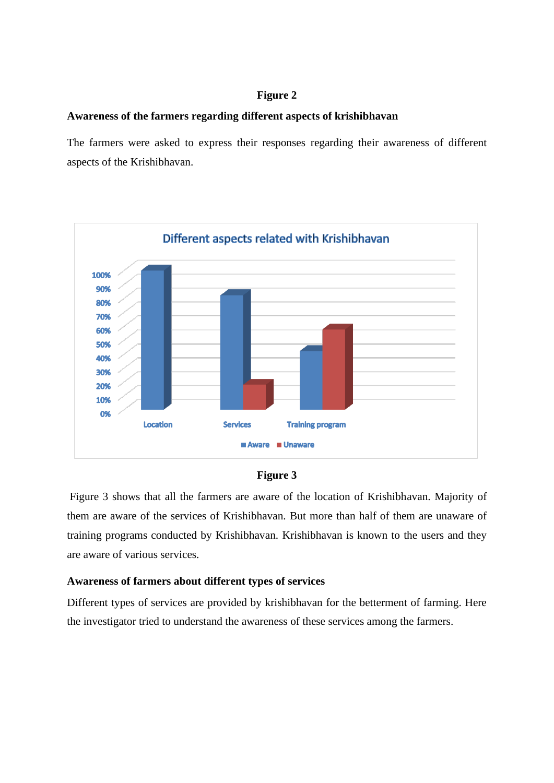#### **Figure 2**

#### **Awareness of the farmers regarding different aspects of krishibhavan**

The farmers were asked to express their responses regarding their awareness of different aspects of the Krishibhavan.



#### **Figure 3**

Figure 3 shows that all the farmers are aware of the location of Krishibhavan. Majority of them are aware of the services of Krishibhavan. But more than half of them are unaware of training programs conducted by Krishibhavan. Krishibhavan is known to the users and they are aware of various services.

#### **Awareness of farmers about different types of services**

Different types of services are provided by krishibhavan for the betterment of farming. Here the investigator tried to understand the awareness of these services among the farmers.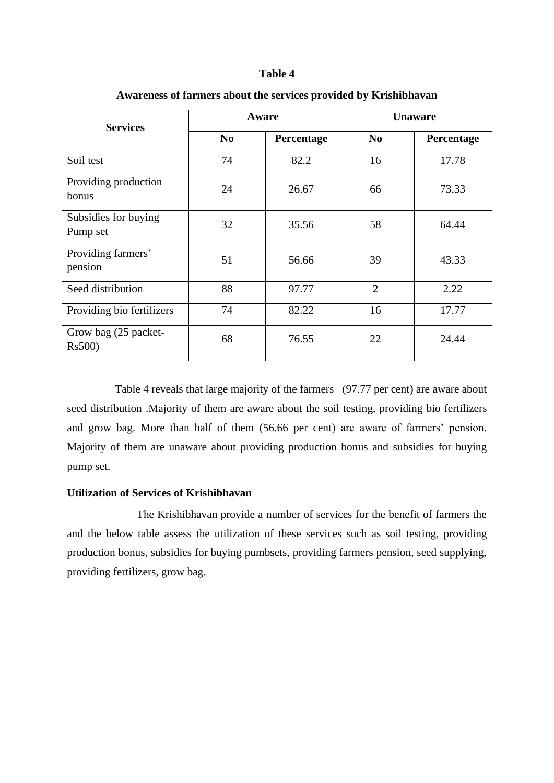| Aware<br><b>Services</b>         |                              | <b>Unaware</b> |                |            |
|----------------------------------|------------------------------|----------------|----------------|------------|
|                                  | N <sub>0</sub><br>Percentage |                | N <sub>0</sub> | Percentage |
| Soil test                        | 74                           | 82.2           | 16             | 17.78      |
| Providing production<br>bonus    | 24                           | 26.67          | 66             | 73.33      |
| Subsidies for buying<br>Pump set | 32                           | 35.56          | 58             | 64.44      |
| Providing farmers'<br>pension    | 51                           | 56.66          | 39             | 43.33      |
| Seed distribution                | 88                           | 97.77          | $\overline{2}$ | 2.22       |
| Providing bio fertilizers        | 74                           | 82.22          | 16             | 17.77      |
| Grow bag (25 packet-<br>Rs500)   | 68                           | 76.55          | 22             | 24.44      |

### **Awareness of farmers about the services provided by Krishibhavan**

Table 4 reveals that large majority of the farmers (97.77 per cent) are aware about seed distribution .Majority of them are aware about the soil testing, providing bio fertilizers and grow bag. More than half of them (56.66 per cent) are aware of farmers' pension. Majority of them are unaware about providing production bonus and subsidies for buying pump set.

#### **Utilization of Services of Krishibhavan**

 The Krishibhavan provide a number of services for the benefit of farmers the and the below table assess the utilization of these services such as soil testing, providing production bonus, subsidies for buying pumbsets, providing farmers pension, seed supplying, providing fertilizers, grow bag.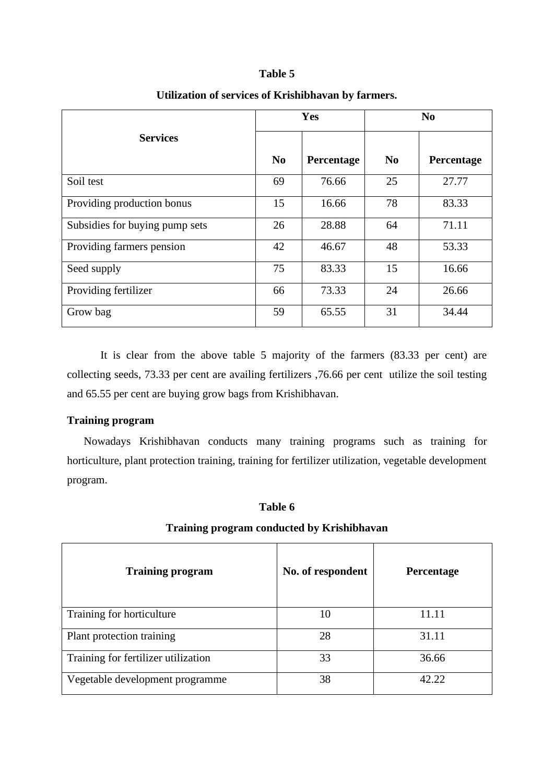|                                | Yes            |            | N <sub>0</sub> |            |
|--------------------------------|----------------|------------|----------------|------------|
| <b>Services</b>                | N <sub>0</sub> | Percentage | N <sub>0</sub> | Percentage |
| Soil test                      | 69             | 76.66      | 25             | 27.77      |
| Providing production bonus     | 15             | 16.66      | 78             | 83.33      |
| Subsidies for buying pump sets | 26             | 28.88      | 64             | 71.11      |
| Providing farmers pension      | 42             | 46.67      | 48             | 53.33      |
| Seed supply                    | 75             | 83.33      | 15             | 16.66      |
| Providing fertilizer           | 66             | 73.33      | 24             | 26.66      |
| Grow bag                       | 59             | 65.55      | 31             | 34.44      |

#### **Utilization of services of Krishibhavan by farmers.**

It is clear from the above table 5 majority of the farmers (83.33 per cent) are collecting seeds, 73.33 per cent are availing fertilizers ,76.66 per cent utilize the soil testing and 65.55 per cent are buying grow bags from Krishibhavan.

#### **Training program**

Nowadays Krishibhavan conducts many training programs such as training for horticulture, plant protection training, training for fertilizer utilization, vegetable development program.

#### **Table 6**

#### **Training program conducted by Krishibhavan**

| <b>Training program</b>             | No. of respondent | Percentage |
|-------------------------------------|-------------------|------------|
| Training for horticulture           | 10                | 11.11      |
| Plant protection training           | 28                | 31.11      |
| Training for fertilizer utilization | 33                | 36.66      |
| Vegetable development programme     | 38                | 42.22      |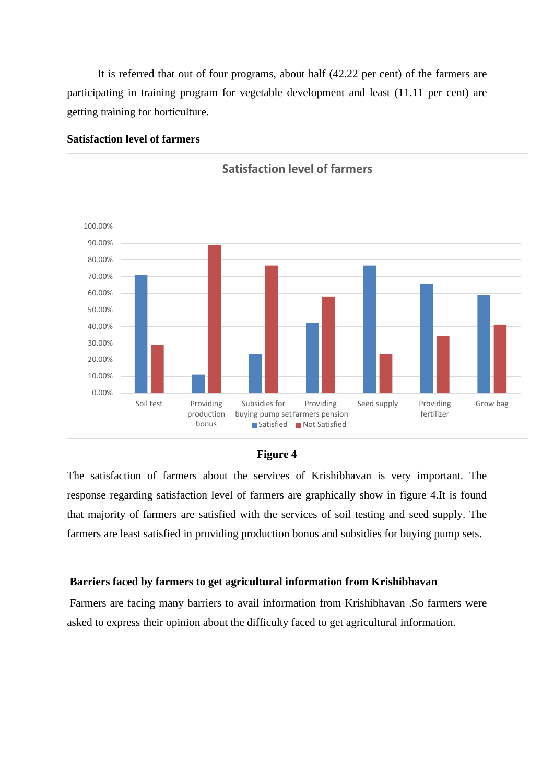It is referred that out of four programs, about half (42.22 per cent) of the farmers are participating in training program for vegetable development and least (11.11 per cent) are getting training for horticulture.



#### **Satisfaction level of farmers**



The satisfaction of farmers about the services of Krishibhavan is very important. The response regarding satisfaction level of farmers are graphically show in figure 4.It is found that majority of farmers are satisfied with the services of soil testing and seed supply. The farmers are least satisfied in providing production bonus and subsidies for buying pump sets.

#### **Barriers faced by farmers to get agricultural information from Krishibhavan**

Farmers are facing many barriers to avail information from Krishibhavan .So farmers were asked to express their opinion about the difficulty faced to get agricultural information.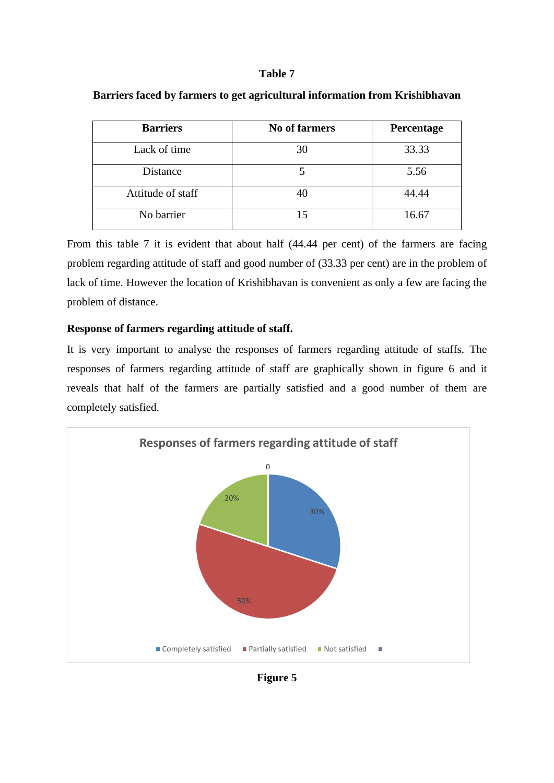| <b>Barriers</b>   | <b>No of farmers</b> | Percentage |
|-------------------|----------------------|------------|
| Lack of time      | 30                   | 33.33      |
| Distance          |                      | 5.56       |
| Attitude of staff | 40                   | 44.44      |
| No barrier        | ۱۹                   | 16.67      |

#### **Barriers faced by farmers to get agricultural information from Krishibhavan**

From this table 7 it is evident that about half (44.44 per cent) of the farmers are facing problem regarding attitude of staff and good number of (33.33 per cent) are in the problem of lack of time. However the location of Krishibhavan is convenient as only a few are facing the problem of distance.

#### **Response of farmers regarding attitude of staff.**

It is very important to analyse the responses of farmers regarding attitude of staffs. The responses of farmers regarding attitude of staff are graphically shown in figure 6 and it reveals that half of the farmers are partially satisfied and a good number of them are completely satisfied.



**Figure 5**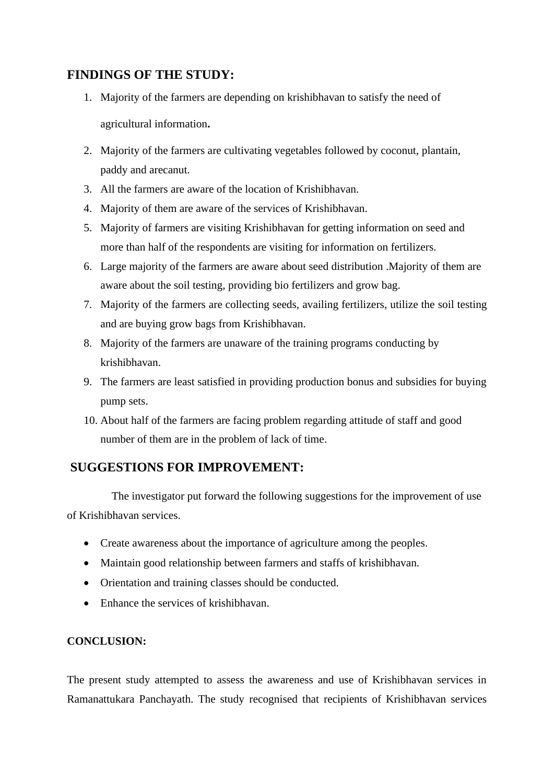# **FINDINGS OF THE STUDY:**

- 1. Majority of the farmers are depending on krishibhavan to satisfy the need of agricultural information**.**
- 2. Majority of the farmers are cultivating vegetables followed by coconut, plantain, paddy and arecanut.
- 3. All the farmers are aware of the location of Krishibhavan.
- 4. Majority of them are aware of the services of Krishibhavan.
- 5. Majority of farmers are visiting Krishibhavan for getting information on seed and more than half of the respondents are visiting for information on fertilizers.
- 6. Large majority of the farmers are aware about seed distribution .Majority of them are aware about the soil testing, providing bio fertilizers and grow bag.
- 7. Majority of the farmers are collecting seeds, availing fertilizers, utilize the soil testing and are buying grow bags from Krishibhavan.
- 8. Majority of the farmers are unaware of the training programs conducting by krishibhavan.
- 9. The farmers are least satisfied in providing production bonus and subsidies for buying pump sets.
- 10. About half of the farmers are facing problem regarding attitude of staff and good number of them are in the problem of lack of time.

## **SUGGESTIONS FOR IMPROVEMENT:**

 The investigator put forward the following suggestions for the improvement of use of Krishibhavan services.

- Create awareness about the importance of agriculture among the peoples.
- Maintain good relationship between farmers and staffs of krishibhavan.
- Orientation and training classes should be conducted.
- Enhance the services of krishibhavan.

## **CONCLUSION:**

The present study attempted to assess the awareness and use of Krishibhavan services in Ramanattukara Panchayath. The study recognised that recipients of Krishibhavan services